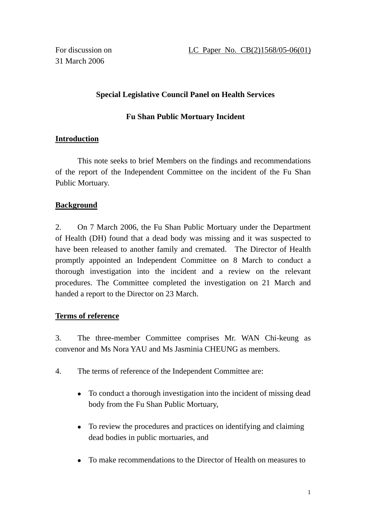For discussion on 31 March 2006

# **Special Legislative Council Panel on Health Services**

# **Fu Shan Public Mortuary Incident**

# **Introduction**

 This note seeks to brief Members on the findings and recommendations of the report of the Independent Committee on the incident of the Fu Shan Public Mortuary.

# **Background**

2. On 7 March 2006, the Fu Shan Public Mortuary under the Department of Health (DH) found that a dead body was missing and it was suspected to have been released to another family and cremated. The Director of Health promptly appointed an Independent Committee on 8 March to conduct a thorough investigation into the incident and a review on the relevant procedures. The Committee completed the investigation on 21 March and handed a report to the Director on 23 March.

# **Terms of reference**

3. The three-member Committee comprises Mr. WAN Chi-keung as convenor and Ms Nora YAU and Ms Jasminia CHEUNG as members.

- 4. The terms of reference of the Independent Committee are:
	- To conduct a thorough investigation into the incident of missing dead body from the Fu Shan Public Mortuary,
	- To review the procedures and practices on identifying and claiming dead bodies in public mortuaries, and
	- To make recommendations to the Director of Health on measures to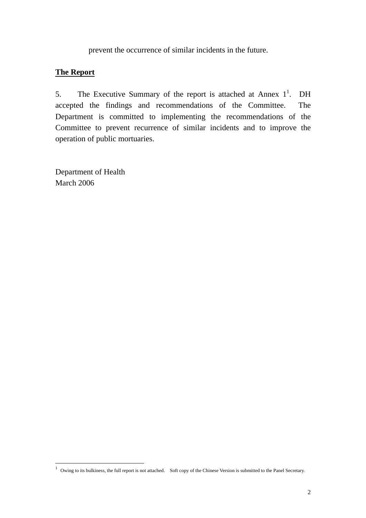prevent the occurrence of similar incidents in the future.

### **The Report**

5. The Executive Summary of the report is attached at Annex  $1^1$ . DH accepted the findings and recommendations of the Committee. The Department is committed to implementing the recommendations of the Committee to prevent recurrence of similar incidents and to improve the operation of public mortuaries.

Department of Health March 2006

 $\overline{a}$ 

 $1$  Owing to its bulkiness, the full report is not attached. Soft copy of the Chinese Version is submitted to the Panel Secretary.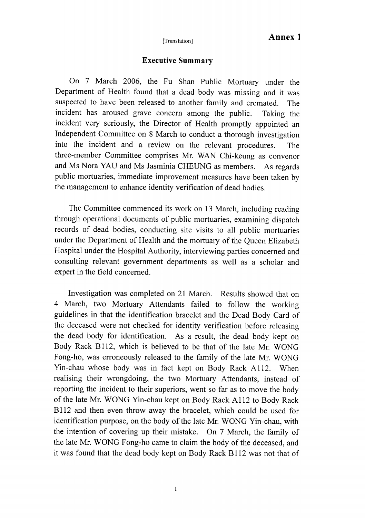### **Executive Summary**

On 7 March 2006, the Fu Shan Public Mortuary under the Department of Health found that a dead body was missing and it was suspected to have been released to another family and cremated. The incident has aroused grave concern among the public. Taking the incident very seriously, the Director of Health promptly appointed an Independent Committee on 8 March to conduct a thorough investigation into the incident and a review on the relevant procedures. The three-member Committee comprises Mr. WAN Chi-keung as convenor and Ms Nora YAU and Ms Jasminia CHEUNG as members. As regards public mortuaries, immediate improvement measures have been taken by the management to enhance identity verification of dead bodies.

The Committee commenced its work on 13 March, including reading through operational documents of public mortuaries, examining dispatch records of dead bodies, conducting site visits to all public mortuaries under the Department of Health and the mortuary of the Queen Elizabeth Hospital under the Hospital Authority, interviewing parties concerned and consulting relevant government departments as well as a scholar and expert in the field concerned.

Investigation was completed on 21 March. Results showed that on 4 March, two Mortuary Attendants failed to follow the working guidelines in that the identification bracelet and the Dead Body Card of the deceased were not checked for identity verification before releasing the dead body for identification. As a result, the dead body kept on Body Rack B112, which is believed to be that of the late Mr. WONG Fong-ho, was erroneously released to the family of the late Mr. WONG Yin-chau whose body was in fact kept on Body Rack A112. When realising their wrongdoing, the two Mortuary Attendants, instead of reporting the incident to their superiors, went so far as to move the body of the late Mr. WONG Yin-chau kept on Body Rack A112 to Body Rack B112 and then even throw away the bracelet, which could be used for identification purpose, on the body of the late Mr. WONG Yin-chau, with the intention of covering up their mistake. On 7 March, the family of the late Mr. WONG Fong-ho came to claim the body of the deceased, and it was found that the dead body kept on Body Rack B112 was not that of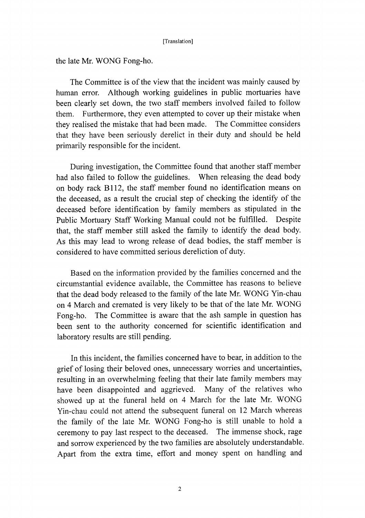the late Mr. WONG Fong-ho.

The Committee is of the view that the incident was mainly caused by human error. Although working guidelines in public mortuaries have been clearly set down, the two staff members involved failed to follow Furthermore, they even attempted to cover up their mistake when them. they realised the mistake that had been made. The Committee considers that they have been seriously derelict in their duty and should be held primarily responsible for the incident.

During investigation, the Committee found that another staff member had also failed to follow the guidelines. When releasing the dead body on body rack B112, the staff member found no identification means on the deceased, as a result the crucial step of checking the identify of the deceased before identification by family members as stipulated in the Public Mortuary Staff Working Manual could not be fulfilled. Despite that, the staff member still asked the family to identify the dead body. As this may lead to wrong release of dead bodies, the staff member is considered to have committed serious dereliction of duty.

Based on the information provided by the families concerned and the circumstantial evidence available, the Committee has reasons to believe that the dead body released to the family of the late Mr. WONG Yin-chau on 4 March and cremated is very likely to be that of the late Mr. WONG Fong-ho. The Committee is aware that the ash sample in question has been sent to the authority concerned for scientific identification and laboratory results are still pending.

In this incident, the families concerned have to bear, in addition to the grief of losing their beloved ones, unnecessary worries and uncertainties, resulting in an overwhelming feeling that their late family members may have been disappointed and aggrieved. Many of the relatives who showed up at the funeral held on 4 March for the late Mr. WONG Yin-chau could not attend the subsequent funeral on 12 March whereas the family of the late Mr. WONG Fong-ho is still unable to hold a ceremony to pay last respect to the deceased. The immense shock, rage and sorrow experienced by the two families are absolutely understandable. Apart from the extra time, effort and money spent on handling and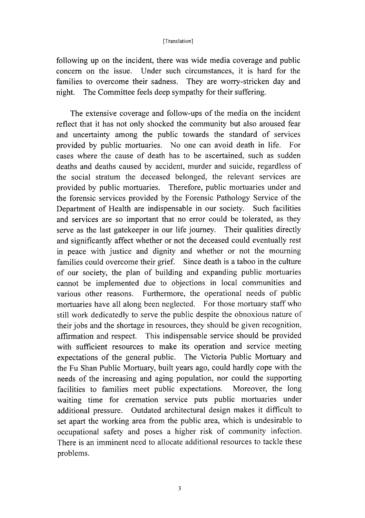following up on the incident, there was wide media coverage and public concern on the issue. Under such circumstances, it is hard for the They are worry-stricken day and families to overcome their sadness. The Committee feels deep sympathy for their suffering. night.

The extensive coverage and follow-ups of the media on the incident reflect that it has not only shocked the community but also aroused fear and uncertainty among the public towards the standard of services provided by public mortuaries. No one can avoid death in life. For cases where the cause of death has to be ascertained, such as sudden deaths and deaths caused by accident, murder and suicide, regardless of the social stratum the deceased belonged, the relevant services are provided by public mortuaries. Therefore, public mortuaries under and the forensic services provided by the Forensic Pathology Service of the Department of Health are indispensable in our society. Such facilities and services are so important that no error could be tolerated, as they serve as the last gatekeeper in our life journey. Their qualities directly and significantly affect whether or not the deceased could eventually rest in peace with justice and dignity and whether or not the mourning families could overcome their grief. Since death is a taboo in the culture of our society, the plan of building and expanding public mortuaries cannot be implemented due to objections in local communities and Furthermore, the operational needs of public various other reasons. mortuaries have all along been neglected. For those mortuary staff who still work dedicatedly to serve the public despite the obnoxious nature of their jobs and the shortage in resources, they should be given recognition, affirmation and respect. This indispensable service should be provided with sufficient resources to make its operation and service meeting expectations of the general public. The Victoria Public Mortuary and the Fu Shan Public Mortuary, built years ago, could hardly cope with the needs of the increasing and aging population, nor could the supporting facilities to families meet public expectations. Moreover, the long waiting time for cremation service puts public mortuaries under additional pressure. Outdated architectural design makes it difficult to set apart the working area from the public area, which is undesirable to occupational safety and poses a higher risk of community infection. There is an imminent need to allocate additional resources to tackle these problems.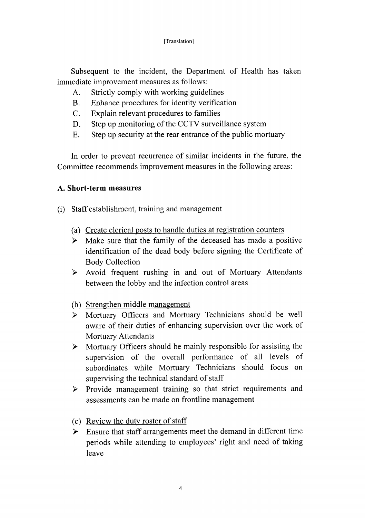Subsequent to the incident, the Department of Health has taken immediate improvement measures as follows:

- $A<sub>1</sub>$ Strictly comply with working guidelines
- $B<sub>1</sub>$ Enhance procedures for identity verification
- Explain relevant procedures to families  $C_{\cdot}$
- D. Step up monitoring of the CCTV surveillance system
- Step up security at the rear entrance of the public mortuary E.

In order to prevent recurrence of similar incidents in the future, the Committee recommends improvement measures in the following areas:

### A. Short-term measures

- (i) Staff establishment, training and management
	- (a) Create clerical posts to handle duties at registration counters
	- $\triangleright$  Make sure that the family of the deceased has made a positive identification of the dead body before signing the Certificate of **Body Collection**
	- > Avoid frequent rushing in and out of Mortuary Attendants between the lobby and the infection control areas
	- (b) Strengthen middle management
	- > Mortuary Officers and Mortuary Technicians should be well aware of their duties of enhancing supervision over the work of **Mortuary Attendants**
	- $\triangleright$  Mortuary Officers should be mainly responsible for assisting the supervision of the overall performance of all levels of subordinates while Mortuary Technicians should focus on supervising the technical standard of staff
	- $\triangleright$  Provide management training so that strict requirements and assessments can be made on frontline management
	- (c) Review the duty roster of staff
	- $\triangleright$  Ensure that staff arrangements meet the demand in different time periods while attending to employees' right and need of taking leave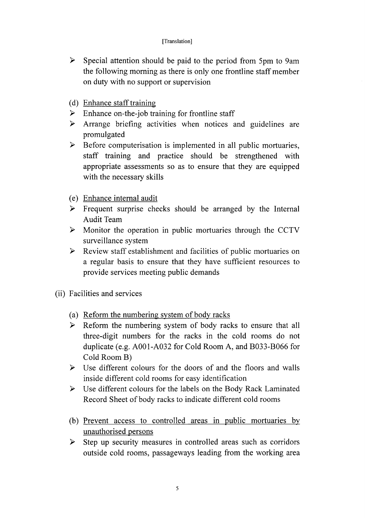- $\triangleright$  Special attention should be paid to the period from 5pm to 9am the following morning as there is only one frontline staff member on duty with no support or supervision
- (d) Enhance staff training
- $\triangleright$  Enhance on-the-job training for frontline staff
- $\triangleright$  Arrange briefing activities when notices and guidelines are promulgated
- $\triangleright$  Before computerisation is implemented in all public mortuaries, staff training and practice should be strengthened with appropriate assessments so as to ensure that they are equipped with the necessary skills
- (e) Enhance internal audit
- > Frequent surprise checks should be arranged by the Internal Audit Team
- $\triangleright$  Monitor the operation in public mortuaries through the CCTV surveillance system
- > Review staff establishment and facilities of public mortuaries on a regular basis to ensure that they have sufficient resources to provide services meeting public demands
- (ii) Facilities and services
	- (a) Reform the numbering system of body racks
	- $\triangleright$  Reform the numbering system of body racks to ensure that all three-digit numbers for the racks in the cold rooms do not duplicate (e.g. A001-A032 for Cold Room A, and B033-B066 for Cold Room B)
	- $\triangleright$  Use different colours for the doors of and the floors and walls inside different cold rooms for easy identification
	- > Use different colours for the labels on the Body Rack Laminated Record Sheet of body racks to indicate different cold rooms
	- (b) Prevent access to controlled areas in public mortuaries by unauthorised persons
	- $\triangleright$  Step up security measures in controlled areas such as corridors outside cold rooms, passageways leading from the working area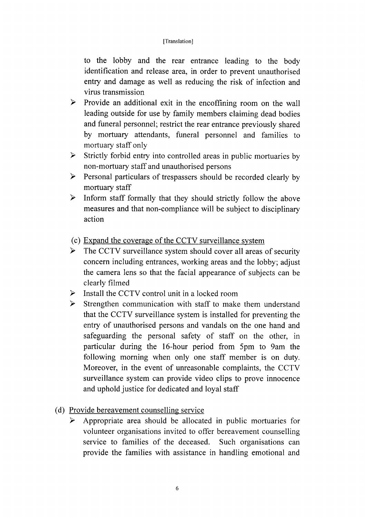to the lobby and the rear entrance leading to the body identification and release area, in order to prevent unauthorised entry and damage as well as reducing the risk of infection and virus transmission

- $\blacktriangleright$ Provide an additional exit in the encoffining room on the wall leading outside for use by family members claiming dead bodies and funeral personnel; restrict the rear entrance previously shared by mortuary attendants, funeral personnel and families to mortuary staff only
- $\triangleright$  Strictly forbid entry into controlled areas in public mortuaries by non-mortuary staff and unauthorised persons
- $\triangleright$  Personal particulars of trespassers should be recorded clearly by mortuary staff
- $\triangleright$  Inform staff formally that they should strictly follow the above measures and that non-compliance will be subject to disciplinary action
- (c) Expand the coverage of the CCTV surveillance system
- $\blacktriangleright$ The CCTV surveillance system should cover all areas of security concern including entrances, working areas and the lobby; adjust the camera lens so that the facial appearance of subjects can be clearly filmed
- $\triangleright$  Install the CCTV control unit in a locked room
- $\triangleright$  Strengthen communication with staff to make them understand that the CCTV surveillance system is installed for preventing the entry of unauthorised persons and vandals on the one hand and safeguarding the personal safety of staff on the other, in particular during the 16-hour period from 5pm to 9am the following morning when only one staff member is on duty. Moreover, in the event of unreasonable complaints, the CCTV surveillance system can provide video clips to prove innocence and uphold justice for dedicated and loyal staff
- (d) Provide bereavement counselling service
	- Appropriate area should be allocated in public mortuaries for ➤ volunteer organisations invited to offer bereavement counselling service to families of the deceased. Such organisations can provide the families with assistance in handling emotional and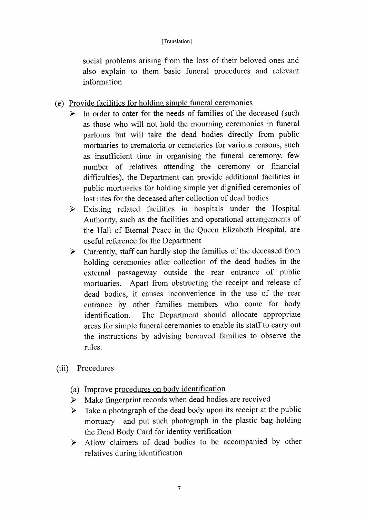social problems arising from the loss of their beloved ones and also explain to them basic funeral procedures and relevant information

- (e) Provide facilities for holding simple funeral ceremonies
	- In order to cater for the needs of families of the deceased (such  $\blacktriangleright$ as those who will not hold the mourning ceremonies in funeral parlours but will take the dead bodies directly from public mortuaries to crematoria or cemeteries for various reasons, such as insufficient time in organising the funeral ceremony, few number of relatives attending the ceremony or financial difficulties), the Department can provide additional facilities in public mortuaries for holding simple yet dignified ceremonies of last rites for the deceased after collection of dead bodies
	- Existing related facilities in hospitals under the Hospital  $\blacktriangleright$ Authority, such as the facilities and operational arrangements of the Hall of Eternal Peace in the Queen Elizabeth Hospital, are useful reference for the Department
	- > Currently, staff can hardly stop the families of the deceased from holding ceremonies after collection of the dead bodies in the external passageway outside the rear entrance of public mortuaries. Apart from obstructing the receipt and release of dead bodies, it causes inconvenience in the use of the rear entrance by other families members who come for body The Department should allocate appropriate identification. areas for simple funeral ceremonies to enable its staff to carry out the instructions by advising bereaved families to observe the rules.
- Procedures  $(iii)$ 
	- (a) Improve procedures on body identification
	- > Make fingerprint records when dead bodies are received
	- Take a photograph of the dead body upon its receipt at the public  $\blacktriangleright$ mortuary and put such photograph in the plastic bag holding the Dead Body Card for identity verification
	- > Allow claimers of dead bodies to be accompanied by other relatives during identification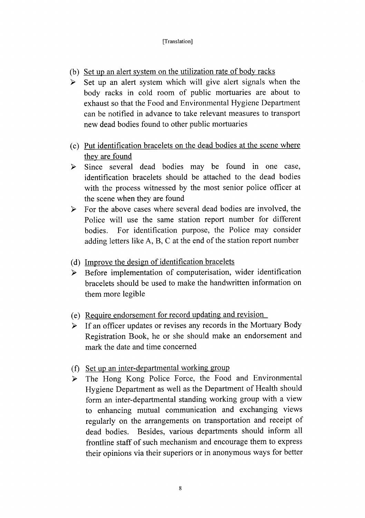- (b) Set up an alert system on the utilization rate of body racks
- $\triangleright$  Set up an alert system which will give alert signals when the body racks in cold room of public mortuaries are about to exhaust so that the Food and Environmental Hygiene Department can be notified in advance to take relevant measures to transport new dead bodies found to other public mortuaries
- (c) Put identification bracelets on the dead bodies at the scene where they are found
- > Since several dead bodies may be found in one case, identification bracelets should be attached to the dead bodies with the process witnessed by the most senior police officer at the scene when they are found
- $\triangleright$  For the above cases where several dead bodies are involved, the Police will use the same station report number for different For identification purpose, the Police may consider bodies. adding letters like A, B, C at the end of the station report number
- (d) Improve the design of identification bracelets
- Before implementation of computerisation, wider identification  $\blacktriangleright$ bracelets should be used to make the handwritten information on them more legible
- (e) Require endorsement for record updating and revision
- If an officer updates or revises any records in the Mortuary Body  $\blacktriangleright$ Registration Book, he or she should make an endorsement and mark the date and time concerned
- (f) Set up an inter-departmental working group
- > The Hong Kong Police Force, the Food and Environmental Hygiene Department as well as the Department of Health should form an inter-departmental standing working group with a view to enhancing mutual communication and exchanging views regularly on the arrangements on transportation and receipt of dead bodies. Besides, various departments should inform all frontline staff of such mechanism and encourage them to express their opinions via their superiors or in anonymous ways for better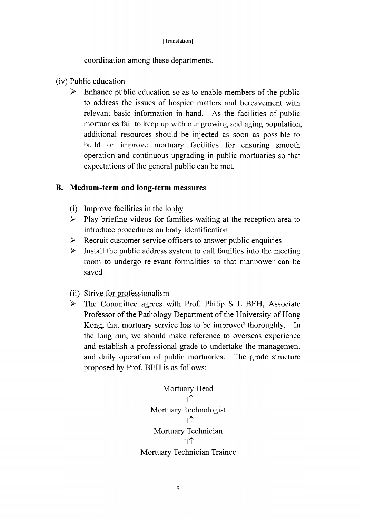coordination among these departments.

- (iv) Public education
	- Enhance public education so as to enable members of the public  $\blacktriangleright$ to address the issues of hospice matters and bereavement with relevant basic information in hand. As the facilities of public mortuaries fail to keep up with our growing and aging population, additional resources should be injected as soon as possible to build or improve mortuary facilities for ensuring smooth operation and continuous upgrading in public mortuaries so that expectations of the general public can be met.

# B. Medium-term and long-term measures

- (i) Improve facilities in the lobby
- $\blacktriangleright$ Play briefing videos for families waiting at the reception area to introduce procedures on body identification
- Recruit customer service officers to answer public enquiries ≻
- Install the public address system to call families into the meeting  $\blacktriangleright$ room to undergo relevant formalities so that manpower can be saved
- (ii) Strive for professionalism
- $\blacktriangleright$ The Committee agrees with Prof. Philip S L BEH, Associate Professor of the Pathology Department of the University of Hong Kong, that mortuary service has to be improved thoroughly.  $In$ the long run, we should make reference to overseas experience and establish a professional grade to undertake the management and daily operation of public mortuaries. The grade structure proposed by Prof. BEH is as follows:

Mortuary Head

\n
$$
\Box \uparrow
$$
\nMortuary Technologies

\n
$$
\Box \uparrow
$$
\nMortuary Technician

\n
$$
\Box \uparrow
$$
\nMortuary Technician

\nMortuary Technician